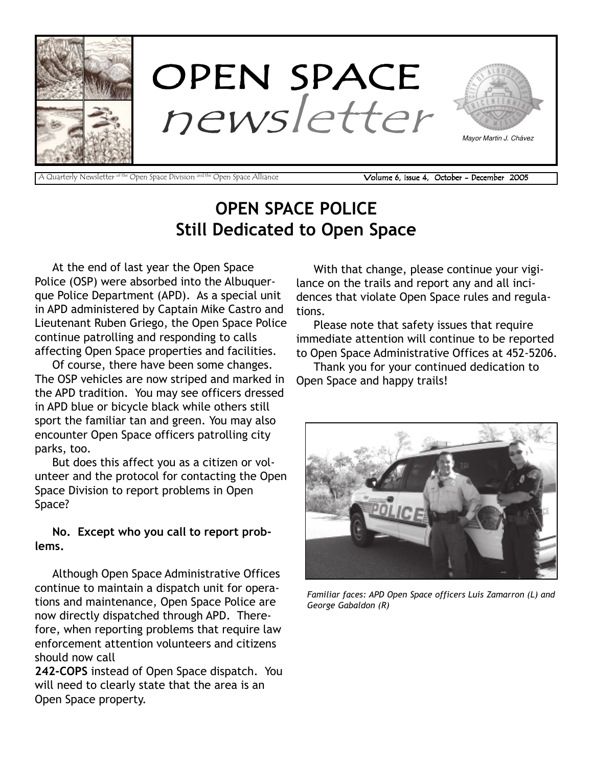

OPEN SPACE POLICE Still Dedicated to Open Space

At the end of last year the Open Space Police (OSP) were absorbed into the Albuquerque Police Department (APD). As a special unit in APD administered by Captain Mike Castro and Lieutenant Ruben Griego, the Open Space Police continue patrolling and responding to calls affecting Open Space properties and facilities.

Of course, there have been some changes. The OSP vehicles are now striped and marked in the APD tradition. You may see officers dressed in APD blue or bicycle black while others still sport the familiar tan and green. You may also encounter Open Space officers patrolling city parks, too.

But does this affect you as a citizen or volunteer and the protocol for contacting the Open Space Division to report problems in Open Space?

No. Except who you call to report problems.

Although Open Space Administrative Offices continue to maintain a dispatch unit for operations and maintenance, Open Space Police are now directly dispatched through APD. Therefore, when reporting problems that require law enforcement attention volunteers and citizens should now call

242-COPS instead of Open Space dispatch. You will need to clearly state that the area is an Open Space property.

With that change, please continue your vigilance on the trails and report any and all incidences that violate Open Space rules and regulations.

Please note that safety issues that require immediate attention will continue to be reported to Open Space Administrative Offices at 452-5206.

Thank you for your continued dedication to Open Space and happy trails!



Familiar faces: APD Open Space officers Luis Zamarron (L) and George Gabaldon (R)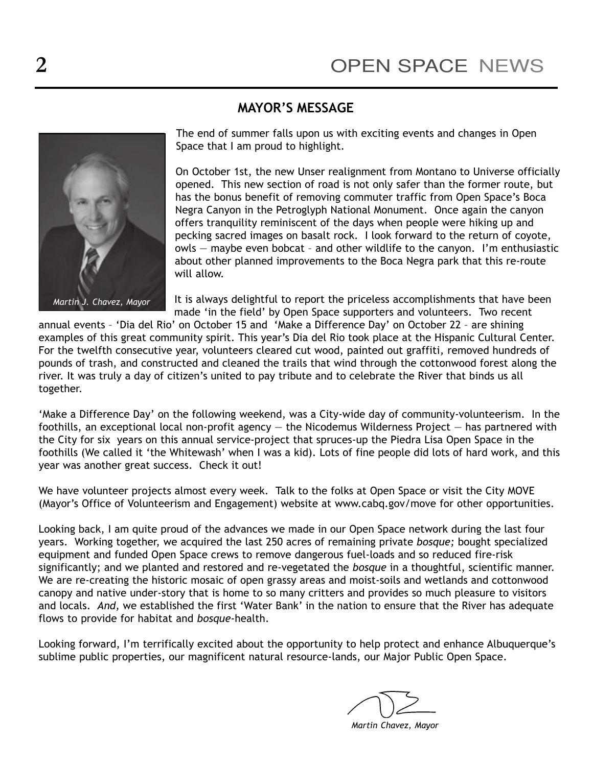# MAYOR'S MESSAGE



The end of summer falls upon us with exciting events and changes in Open Space that I am proud to highlight.

On October 1st, the new Unser realignment from Montano to Universe officially opened. This new section of road is not only safer than the former route, but has the bonus benefit of removing commuter traffic from Open Space's Boca Negra Canyon in the Petroglyph National Monument. Once again the canyon offers tranquility reminiscent of the days when people were hiking up and pecking sacred images on basalt rock. I look forward to the return of coyote, owls  $-$  maybe even bobcat  $-$  and other wildlife to the canyon. I'm enthusiastic about other planned improvements to the Boca Negra park that this re-route will allow.

It is always delightful to report the priceless accomplishments that have been made 'in the field' by Open Space supporters and volunteers. Two recent

annual events - 'Dia del Rio' on October 15 and 'Make a Difference Day' on October 22 - are shining examples of this great community spirit. This year's Dia del Rio took place at the Hispanic Cultural Center. For the twelfth consecutive year, volunteers cleared cut wood, painted out graffiti, removed hundreds of pounds of trash, and constructed and cleaned the trails that wind through the cottonwood forest along the river. It was truly a day of citizen's united to pay tribute and to celebrate the River that binds us all together.

'Make a Difference Day' on the following weekend, was a City-wide day of community-volunteerism. In the foothills, an exceptional local non-profit agency  $-$  the Nicodemus Wilderness Project  $-$  has partnered with the City for six years on this annual service-project that spruces-up the Piedra Lisa Open Space in the foothills (We called it 'the Whitewash' when I was a kid). Lots of fine people did lots of hard work, and this year was another great success. Check it out!

We have volunteer projects almost every week. Talk to the folks at Open Space or visit the City MOVE (Mayor's Office of Volunteerism and Engagement) website at www.cabq.gov/move for other opportunities.

Looking back, I am quite proud of the advances we made in our Open Space network during the last four years. Working together, we acquired the last 250 acres of remaining private bosque; bought specialized equipment and funded Open Space crews to remove dangerous fuel-loads and so reduced fire-risk significantly; and we planted and restored and re-vegetated the bosque in a thoughtful, scientific manner. We are re-creating the historic mosaic of open grassy areas and moist-soils and wetlands and cottonwood canopy and native under-story that is home to so many critters and provides so much pleasure to visitors and locals. And, we established the first 'Water Bank' in the nation to ensure that the River has adequate flows to provide for habitat and bosque-health.

Looking forward, I'm terrifically excited about the opportunity to help protect and enhance Albuquerque's sublime public properties, our magnificent natural resource-lands, our Major Public Open Space.

Martin Chavez, Mayor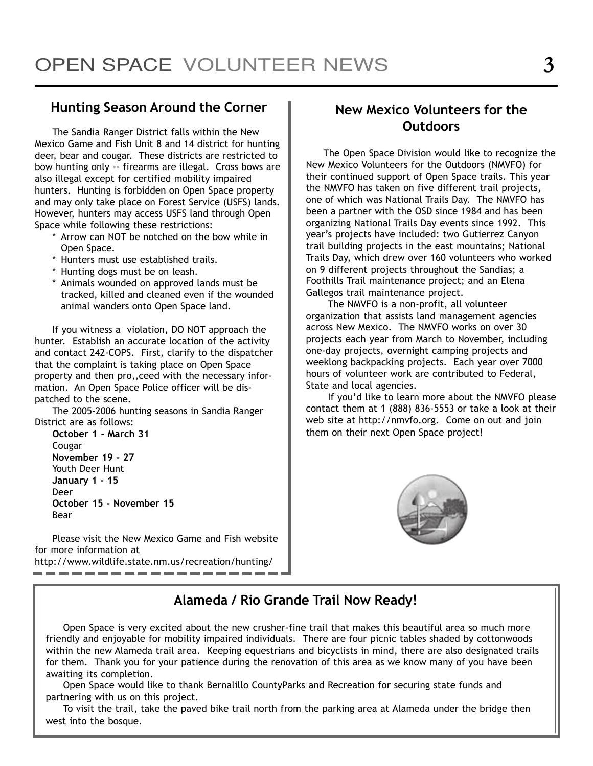### Hunting Season Around the Corner

The Sandia Ranger District falls within the New Mexico Game and Fish Unit 8 and 14 district for hunting deer, bear and cougar. These districts are restricted to bow hunting only -- firearms are illegal. Cross bows are also illegal except for certified mobility impaired hunters. Hunting is forbidden on Open Space property and may only take place on Forest Service (USFS) lands. However, hunters may access USFS land through Open Space while following these restrictions:

- \* Arrow can NOT be notched on the bow while in Open Space.
- \* Hunters must use established trails.
- \* Hunting dogs must be on leash.
- \* Animals wounded on approved lands must be tracked, killed and cleaned even if the wounded animal wanders onto Open Space land.

If you witness a violation, DO NOT approach the hunter. Establish an accurate location of the activity and contact 242-COPS. First, clarify to the dispatcher that the complaint is taking place on Open Space property and then pro,,ceed with the necessary information. An Open Space Police officer will be dispatched to the scene.

The 2005-2006 hunting seasons in Sandia Ranger District are as follows:

October 1 - March 31 Cougar November 19 - 27 Youth Deer Hunt January 1 - 15 Deer October 15 - November 15 Bear

Please visit the New Mexico Game and Fish website for more information at http://www.wildlife.state.nm.us/recreation/hunting/ \_\_\_\_\_\_\_\_\_\_\_\_\_\_\_

### New Mexico Volunteers for the Outdoors

The Open Space Division would like to recognize the New Mexico Volunteers for the Outdoors (NMVFO) for their continued support of Open Space trails. This year the NMVFO has taken on five different trail projects, one of which was National Trails Day. The NMVFO has been a partner with the OSD since 1984 and has been organizing National Trails Day events since 1992. This year's projects have included: two Gutierrez Canyon trail building projects in the east mountains; National Trails Day, which drew over 160 volunteers who worked on 9 different projects throughout the Sandias; a Foothills Trail maintenance project; and an Elena Gallegos trail maintenance project.

The NMVFO is a non-profit, all volunteer organization that assists land management agencies across New Mexico. The NMVFO works on over 30 projects each year from March to November, including one-day projects, overnight camping projects and weeklong backpacking projects. Each year over 7000 hours of volunteer work are contributed to Federal, State and local agencies.

If you'd like to learn more about the NMVFO please contact them at 1 (888) 836-5553 or take a look at their web site at http://nmvfo.org. Come on out and join them on their next Open Space project!



# Alameda / Rio Grande Trail Now Ready!

Open Space is very excited about the new crusher-fine trail that makes this beautiful area so much more friendly and enjoyable for mobility impaired individuals. There are four picnic tables shaded by cottonwoods within the new Alameda trail area. Keeping equestrians and bicyclists in mind, there are also designated trails for them. Thank you for your patience during the renovation of this area as we know many of you have been awaiting its completion.

Open Space would like to thank Bernalillo CountyParks and Recreation for securing state funds and partnering with us on this project.

To visit the trail, take the paved bike trail north from the parking area at Alameda under the bridge then west into the bosque.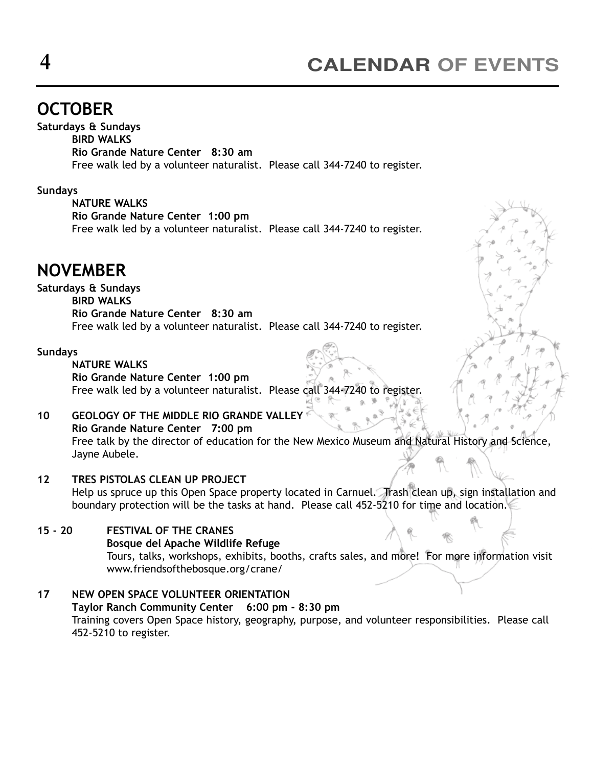# **OCTOBER**

Saturdays & Sundays BIRD WALKS Rio Grande Nature Center 8:30 am Free walk led by a volunteer naturalist. Please call 344-7240 to register.

#### Sundays

NATURE WALKS Rio Grande Nature Center 1:00 pm Free walk led by a volunteer naturalist. Please call 344-7240 to register.

# NOVEMBER

#### Saturdays & Sundays

BIRD WALKS Rio Grande Nature Center 8:30 am Free walk led by a volunteer naturalist. Please call 344-7240 to register.

#### Sundays

#### NATURE WALKS

Rio Grande Nature Center 1:00 pm Free walk led by a volunteer naturalist. Please call 344-7240 to register.

### 10 GEOLOGY OF THE MIDDLE RIO GRANDE VALLEY

Rio Grande Nature Center 7:00 pm Free talk by the director of education for the New Mexico Museum and Natural History and Science, Jayne Aubele.

#### 12 TRES PISTOLAS CLEAN UP PROJECT

Help us spruce up this Open Space property located in Carnuel. Trash clean up, sign installation and boundary protection will be the tasks at hand. Please call 452-5210 for time and location.

#### 15 - 20 FESTIVAL OF THE CRANES

#### Bosque del Apache Wildlife Refuge

Tours, talks, workshops, exhibits, booths, crafts sales, and more! For more information visit www.friendsofthebosque.org/crane/

#### 17 NEW OPEN SPACE VOLUNTEER ORIENTATION Taylor Ranch Community Center 6:00 pm - 8:30 pm Training covers Open Space history, geography, purpose, and volunteer responsibilities. Please call 452-5210 to register.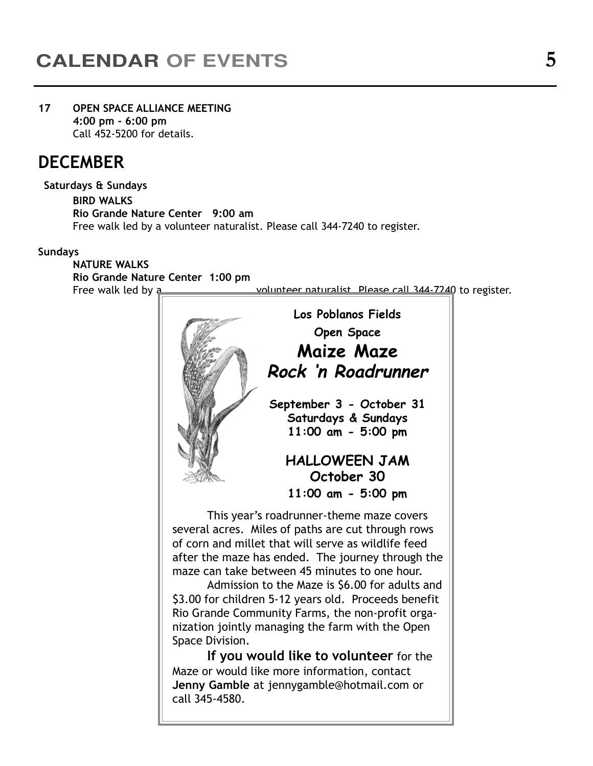#### 17 OPEN SPACE ALLIANCE MEETING 4:00 pm - 6:00 pm Call 452-5200 for details.

# **DECEMBER**

#### Saturdays & Sundays

BIRD WALKS Rio Grande Nature Center 9:00 am Free walk led by a volunteer naturalist. Please call 344-7240 to register.

#### Sundays

NATURE WALKS Rio Grande Nature Center 1:00 pm Free walk led by a volunteer naturalist. Please call 344-7240 to register.

> This year's roadrunner-theme maze covers several acres. Miles of paths are cut through rows of corn and millet that will serve as wildlife feed after the maze has ended. The journey through the maze can take between 45 minutes to one hour. Admission to the Maze is \$6.00 for adults and \$3.00 for children 5-12 years old. Proceeds benefit Rio Grande Community Farms, the non-profit organization jointly managing the farm with the Open Space Division. If you would like to volunteer for the Los Poblanos Fields Open Space Maize Maze Rock ën Roadrunner September 3 - October 31 Saturdays & Sundays 11:00 am - 5:00 pm HALLOWEEN JAM October 30 11:00 am - 5:00 pm

Maze or would like more information, contact Jenny Gamble at jennygamble@hotmail.com or call 345-4580.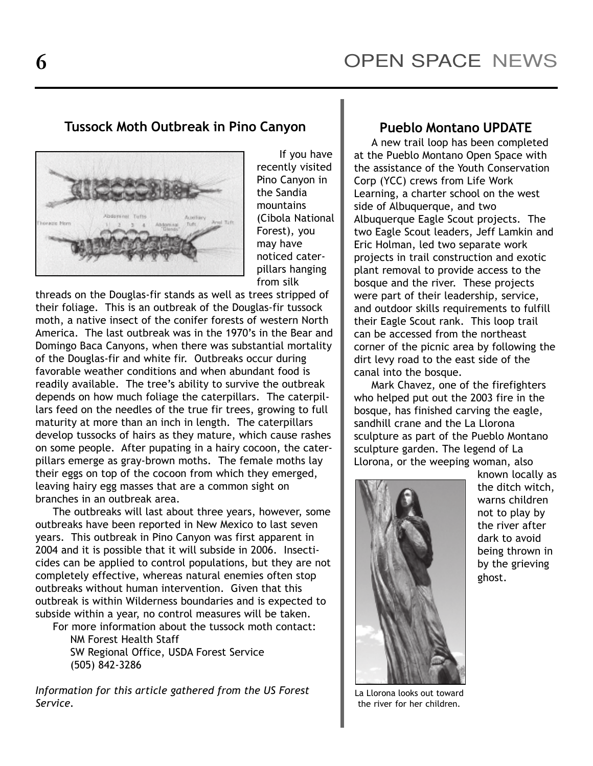# Tussock Moth Outbreak in Pino Canyon



If you have recently visited Pino Canyon in the Sandia mountains (Cibola National Forest), you may have noticed caterpillars hanging from silk

threads on the Douglas-fir stands as well as trees stripped of their foliage. This is an outbreak of the Douglas-fir tussock moth, a native insect of the conifer forests of western North America. The last outbreak was in the 1970's in the Bear and Domingo Baca Canyons, when there was substantial mortality of the Douglas-fir and white fir. Outbreaks occur during favorable weather conditions and when abundant food is readily available. The tree's ability to survive the outbreak depends on how much foliage the caterpillars. The caterpillars feed on the needles of the true fir trees, growing to full maturity at more than an inch in length. The caterpillars develop tussocks of hairs as they mature, which cause rashes on some people. After pupating in a hairy cocoon, the caterpillars emerge as gray-brown moths. The female moths lay their eggs on top of the cocoon from which they emerged, leaving hairy egg masses that are a common sight on branches in an outbreak area.

The outbreaks will last about three years, however, some outbreaks have been reported in New Mexico to last seven years. This outbreak in Pino Canyon was first apparent in 2004 and it is possible that it will subside in 2006. Insecticides can be applied to control populations, but they are not completely effective, whereas natural enemies often stop outbreaks without human intervention. Given that this outbreak is within Wilderness boundaries and is expected to subside within a year, no control measures will be taken.

For more information about the tussock moth contact: NM Forest Health Staff SW Regional Office, USDA Forest Service (505) 842-3286

Information for this article gathered from the US Forest Service.

### Pueblo Montano UPDATE

A new trail loop has been completed at the Pueblo Montano Open Space with the assistance of the Youth Conservation Corp (YCC) crews from Life Work Learning, a charter school on the west side of Albuquerque, and two Albuquerque Eagle Scout projects. The two Eagle Scout leaders, Jeff Lamkin and Eric Holman, led two separate work projects in trail construction and exotic plant removal to provide access to the bosque and the river. These projects were part of their leadership, service, and outdoor skills requirements to fulfill their Eagle Scout rank. This loop trail can be accessed from the northeast corner of the picnic area by following the dirt levy road to the east side of the canal into the bosque.

Mark Chavez, one of the firefighters who helped put out the 2003 fire in the bosque, has finished carving the eagle, sandhill crane and the La Llorona sculpture as part of the Pueblo Montano sculpture garden. The legend of La Llorona, or the weeping woman, also



known locally as the ditch witch, warns children not to play by the river after dark to avoid being thrown in by the grieving ghost.

La Llorona looks out toward the river for her children.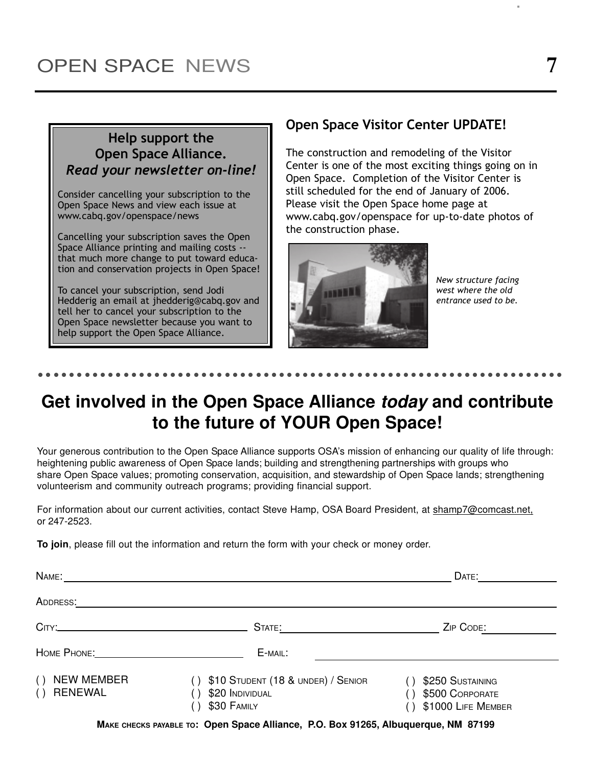## Help support the Open Space Alliance. Read your newsletter on-line!

Consider cancelling your subscription to the Open Space News and view each issue at www.cabq.gov/openspace/news

Cancelling your subscription saves the Open Space Alliance printing and mailing costs - that much more change to put toward education and conservation projects in Open Space!

To cancel your subscription, send Jodi Hedderig an email at jhedderig@cabq.gov and tell her to cancel your subscription to the Open Space newsletter because you want to help support the Open Space Alliance.

### Open Space Visitor Center UPDATE!

The construction and remodeling of the Visitor Center is one of the most exciting things going on in Open Space. Completion of the Visitor Center is still scheduled for the end of January of 2006. Please visit the Open Space home page at www.cabq.gov/openspace for up-to-date photos of the construction phase.



New structure facing west where the old entrance used to be.

#### - -- --- -- --- -- ------ -- --- -- --- -- --- -- ------- - - - -- - - - -- - - - -- - - - -

# **Get involved in the Open Space Alliance today and contribute to the future of YOUR Open Space!**

Your generous contribution to the Open Space Alliance supports OSA's mission of enhancing our quality of life through: heightening public awareness of Open Space lands; building and strengthening partnerships with groups who share Open Space values; promoting conservation, acquisition, and stewardship of Open Space lands; strengthening volunteerism and community outreach programs; providing financial support.

For information about our current activities, contact Steve Hamp, OSA Board President, at shamp7@comcast.net, or 247-2523.

**To join**, please fill out the information and return the form with your check or money order.

| NAME:                                             |                                                                      | DATE:                                                     |
|---------------------------------------------------|----------------------------------------------------------------------|-----------------------------------------------------------|
| ADDRESS:                                          |                                                                      |                                                           |
|                                                   | STATE:                                                               | ZIP CODE:                                                 |
|                                                   | E-MAIL:                                                              |                                                           |
| <b>NEW MEMBER</b><br>( )<br><b>RENEWAL</b><br>( ) | \$10 STUDENT (18 & UNDER) / SENIOR<br>\$20 INDIVIDUAL<br>\$30 FAMILY | \$250 SUSTAINING<br>\$500 CORPORATE<br>\$1000 LIFE MEMBER |
|                                                   |                                                                      |                                                           |

**MAKE CHECKS PAYABLE TO: Open Space Alliance, P.O. Box 91265, Albuquerque, NM 87199**